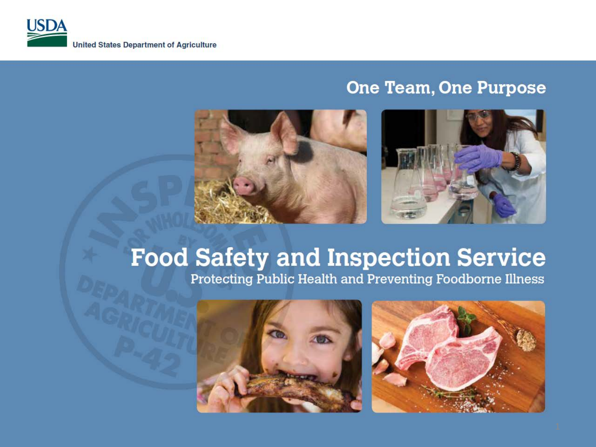

#### **One Team, One Purpose**



# **Food Safety and Inspection Service**

Protecting Public Health and Preventing Foodborne Illness



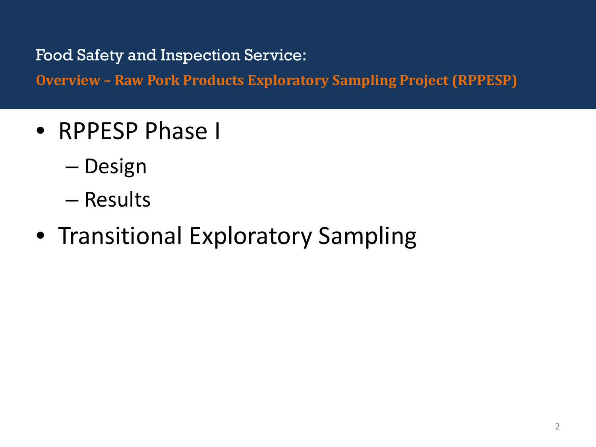**Overview - Raw Pork Products Exploratory Sampling Project (RPPESP)** 

- RPPESP Phase I
	- Design
	- Results
- Transitional Exploratory Sampling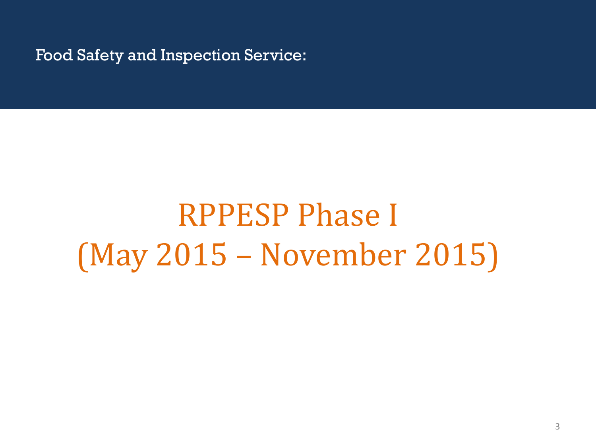# RPPESP Phase I (May 2015 – November 2015)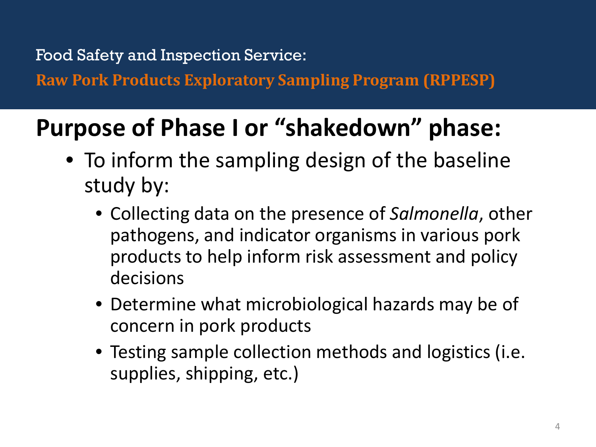**Raw Pork Products Exploratory Sampling Program (RPPESP)** 

# **Purpose of Phase I or "shakedown" phase:**

- To inform the sampling design of the baseline study by:
	- Collecting data on the presence of *Salmonella*, other pathogens, and indicator organisms in various pork products to help inform risk assessment and policy decisions
	- Determine what microbiological hazards may be of concern in pork products
	- Testing sample collection methods and logistics (i.e. supplies, shipping, etc.)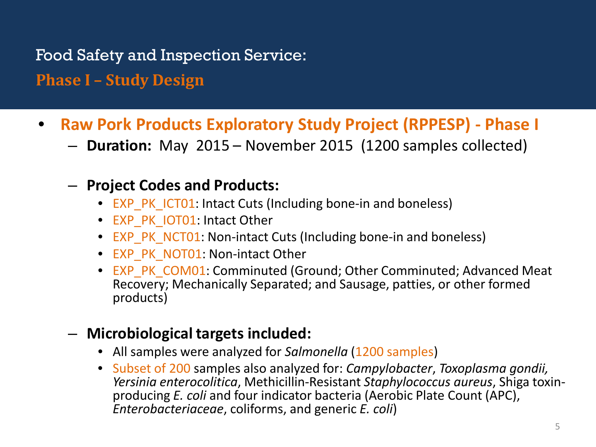Food Safety and Inspection Service: **Phase I – Study Design** 

- **Raw Pork Products Exploratory Study Project (RPPESP) - Phase I** 
	- **Duration:** May 2015 November 2015 (1200 samples collected)
	- **Project Codes and Products:** 
		- EXP PK ICT01: Intact Cuts (Including bone-in and boneless)
		- EXP\_PK\_IOT01: Intact Other
		- EXP PK NCT01: Non-intact Cuts (Including bone-in and boneless)
		- EXP\_PK\_NOT01: Non-intact Other
		- EXP\_PK\_COM01: Comminuted (Ground; Other Comminuted; Advanced Meat Recovery; Mechanically Separated; and Sausage, patties, or other formed products)
	- **Microbiological targets included:**
		- All samples were analyzed for *Salmonella* (1200 samples)
		- Subset of 200 samples also analyzed for: *Campylobacter*, *Toxoplasma gondii, Yersinia enterocolitica*, Methicillin-Resistant *Staphylococcus aureus*, Shiga toxin- producing *E. coli* and four indicator bacteria (Aerobic Plate Count (APC), *Enterobacteriaceae*, coliforms, and generic *E. coli*)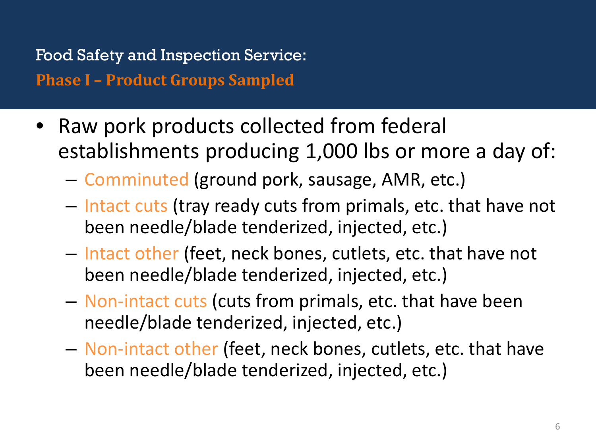Food Safety and Inspection Service: **Phase I - Product Groups Sampled** 

- Raw pork products collected from federal establishments producing 1,000 lbs or more a day of:
	- Comminuted (ground pork, sausage, AMR, etc.)
	- Intact cuts (tray ready cuts from primals, etc. that have not been needle/blade tenderized, injected, etc.)
	- Intact other (feet, neck bones, cutlets, etc. that have not been needle/blade tenderized, injected, etc.)
	- Non-intact cuts (cuts from primals, etc. that have been needle/blade tenderized, injected, etc.)
	- Non-intact other (feet, neck bones, cutlets, etc. that have been needle/blade tenderized, injected, etc.)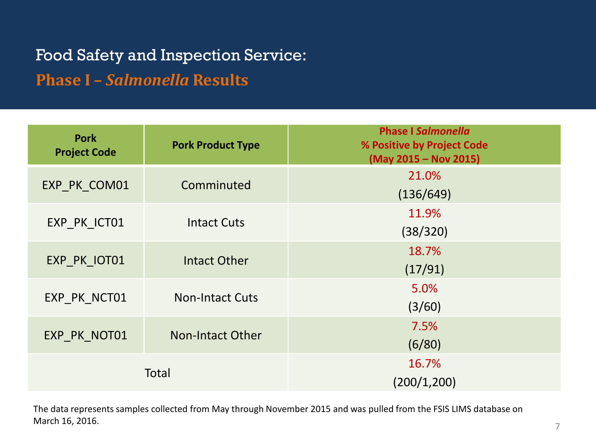### Food Safety and Inspection Service: **Phase I – Salmonella Results**

| <b>Pork</b><br><b>Project Code</b> | <b>Pork Product Type</b> | <b>Phase I Salmonella</b><br>% Positive by Project Code<br>(May 2015 - Nov 2015) |
|------------------------------------|--------------------------|----------------------------------------------------------------------------------|
| EXP PK COM01                       | Comminuted               | 21.0%<br>(136/649)                                                               |
| EXP PK ICT01                       | <b>Intact Cuts</b>       | 11.9%<br>(38/320)                                                                |
| EXP PK IOT01                       | <b>Intact Other</b>      | 18.7%<br>(17/91)                                                                 |
| EXP PK NCT01                       | <b>Non-Intact Cuts</b>   | 5.0%<br>(3/60)                                                                   |
| EXP_PK_NOT01                       | <b>Non-Intact Other</b>  | 7.5%<br>(6/80)                                                                   |
| Total                              |                          | 16.7%<br>(200/1, 200)                                                            |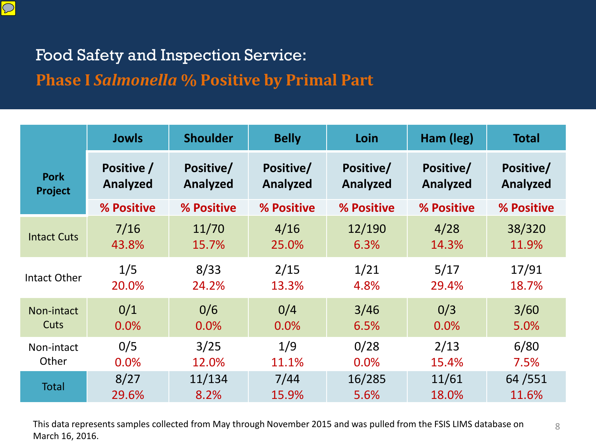

#### **Phase I Salmonella % Positive by Primal Part**

|                    | <b>Jowls</b> | <b>Shoulder</b> | <b>Belly</b> | Loin       | Ham (leg)  | <b>Total</b> |
|--------------------|--------------|-----------------|--------------|------------|------------|--------------|
| <b>Pork</b>        | Positive /   | Positive/       | Positive/    | Positive/  | Positive/  | Positive/    |
| Project            | Analyzed     | Analyzed        | Analyzed     | Analyzed   | Analyzed   | Analyzed     |
|                    | % Positive   | % Positive      | % Positive   | % Positive | % Positive | % Positive   |
| <b>Intact Cuts</b> | 7/16         | 11/70           | 4/16         | 12/190     | 4/28       | 38/320       |
|                    | 43.8%        | 15.7%           | 25.0%        | 6.3%       | 14.3%      | 11.9%        |
| Intact Other       | 1/5          | 8/33            | 2/15         | 1/21       | 5/17       | 17/91        |
|                    | 20.0%        | 24.2%           | 13.3%        | 4.8%       | 29.4%      | 18.7%        |
| Non-intact         | 0/1          | 0/6             | 0/4          | 3/46       | 0/3        | 3/60         |
| Cuts               | 0.0%         | 0.0%            | 0.0%         | 6.5%       | 0.0%       | 5.0%         |
| Non-intact         | 0/5          | 3/25            | 1/9          | 0/28       | 2/13       | 6/80         |
| Other              | 0.0%         | 12.0%           | 11.1%        | 0.0%       | 15.4%      | 7.5%         |
| <b>Total</b>       | 8/27         | 11/134          | 7/44         | 16/285     | 11/61      | 64/551       |
|                    | 29.6%        | 8.2%            | 15.9%        | 5.6%       | 18.0%      | 11.6%        |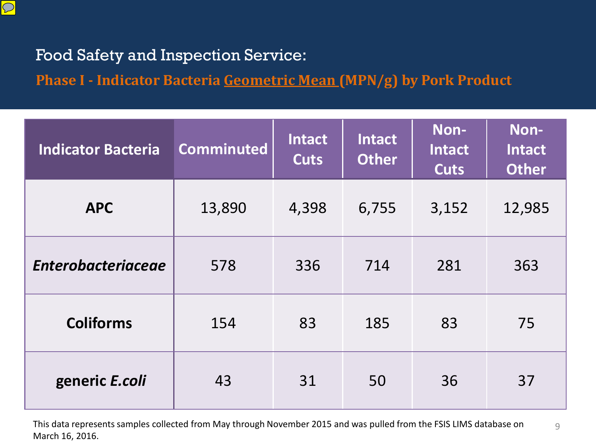

Phase I - Indicator Bacteria **Geometric Mean (MPN/g)** by Pork Product

| <b>Indicator Bacteria</b> | <b>Comminuted</b> | <b>Intact</b><br><b>Cuts</b> | <b>Intact</b><br><b>Other</b> | Non-<br><b>Intact</b><br><b>Cuts</b> | Non-<br><b>Intact</b><br><b>Other</b> |
|---------------------------|-------------------|------------------------------|-------------------------------|--------------------------------------|---------------------------------------|
| <b>APC</b>                | 13,890            | 4,398                        | 6,755                         | 3,152                                | 12,985                                |
| <b>Enterobacteriaceae</b> | 578               | 336                          | 714                           | 281                                  | 363                                   |
| <b>Coliforms</b>          | 154               | 83                           | 185                           | 83                                   | 75                                    |
| generic E.coli            | 43                | 31                           | 50                            | 36                                   | 37                                    |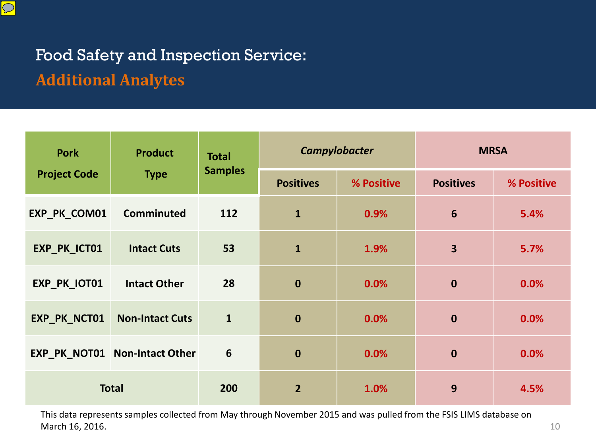

## Food Safety and Inspection Service: Click to edit Master title style **Additional Analytes**

| <b>Pork</b>         | <b>Product</b>                       |                |                  | Campylobacter | <b>MRSA</b>             |            |
|---------------------|--------------------------------------|----------------|------------------|---------------|-------------------------|------------|
| <b>Project Code</b> | <b>Type</b>                          | <b>Samples</b> | <b>Positives</b> | % Positive    | <b>Positives</b>        | % Positive |
| EXP_PK_COM01        | <b>Comminuted</b>                    | 112            | $\mathbf{1}$     | 0.9%          | 6                       | 5.4%       |
| EXP_PK_ICT01        | <b>Intact Cuts</b>                   | 53             | $\mathbf{1}$     | 1.9%          | $\overline{\mathbf{3}}$ | 5.7%       |
| EXP_PK_IOT01        | <b>Intact Other</b>                  | 28             | $\mathbf 0$      | 0.0%          | $\mathbf 0$             | 0.0%       |
| EXP_PK_NCT01        | <b>Non-Intact Cuts</b>               | $\mathbf{1}$   | $\mathbf 0$      | 0.0%          | $\mathbf{0}$            | 0.0%       |
|                     | <b>EXP_PK_NOT01 Non-Intact Other</b> | 6              | $\mathbf 0$      | 0.0%          | $\mathbf 0$             | 0.0%       |
| <b>Total</b>        |                                      | 200            | $\overline{2}$   | 1.0%          | 9                       | 4.5%       |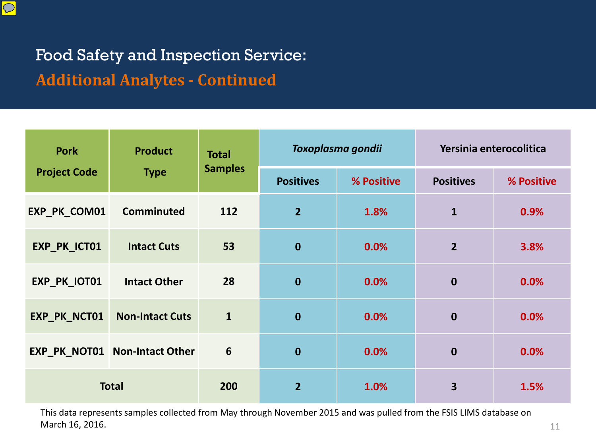

## Food Safety and Inspection Service: Click to edit Master title style **Additional Analytes - Continued**

| <b>Product</b><br><b>Pork</b> |                               | <b>Total</b>   |                  | Toxoplasma gondii | Yersinia enterocolitica |            |
|-------------------------------|-------------------------------|----------------|------------------|-------------------|-------------------------|------------|
| <b>Project Code</b>           | <b>Type</b>                   | <b>Samples</b> | <b>Positives</b> | % Positive        | <b>Positives</b>        | % Positive |
| EXP_PK_COM01                  | <b>Comminuted</b>             | 112            | $\overline{2}$   | 1.8%              | $\mathbf{1}$            | 0.9%       |
| EXP_PK_ICT01                  | <b>Intact Cuts</b>            | 53             | $\boldsymbol{0}$ | 0.0%              | $\overline{2}$          | 3.8%       |
| EXP_PK_IOT01                  | <b>Intact Other</b>           | 28             | $\mathbf 0$      | 0.0%              | $\boldsymbol{0}$        | 0.0%       |
| EXP_PK_NCT01                  | <b>Non-Intact Cuts</b>        | $\mathbf{1}$   | $\boldsymbol{0}$ | 0.0%              | $\mathbf 0$             | 0.0%       |
|                               | EXP_PK_NOT01 Non-Intact Other | 6              | $\mathbf 0$      | 0.0%              | $\mathbf 0$             | 0.0%       |
| <b>Total</b>                  |                               | 200            | $\overline{2}$   | 1.0%              | 3                       | 1.5%       |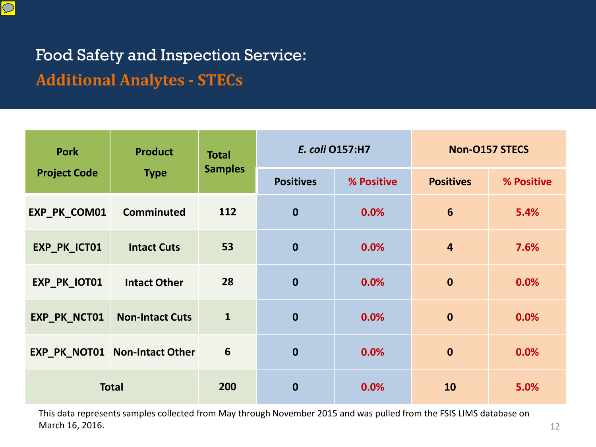

## Food Safety and Inspection Service: Click to edit Master title style **Additional Analytes - STECs**

| <b>Pork</b>         | <b>Product</b>                | <b>Total</b><br><b>Samples</b> |                  | E. coli 0157:H7 | <b>Non-O157 STECS</b> |            |
|---------------------|-------------------------------|--------------------------------|------------------|-----------------|-----------------------|------------|
| <b>Project Code</b> | <b>Type</b>                   |                                | <b>Positives</b> | % Positive      | <b>Positives</b>      | % Positive |
| EXP_PK_COM01        | Comminuted                    | 112                            | $\mathbf 0$      | 0.0%            | 6                     | 5.4%       |
| EXP_PK_ICT01        | <b>Intact Cuts</b>            | 53                             | $\boldsymbol{0}$ | 0.0%            | $\overline{4}$        | 7.6%       |
| EXP_PK_IOT01        | <b>Intact Other</b>           | 28                             | $\mathbf 0$      | 0.0%            | $\boldsymbol{0}$      | 0.0%       |
| EXP_PK_NCT01        | <b>Non-Intact Cuts</b>        | $\mathbf{1}$                   | $\mathbf 0$      | 0.0%            | $\mathbf 0$           | 0.0%       |
|                     | EXP_PK_NOT01 Non-Intact Other | 6                              | $\mathbf 0$      | 0.0%            | $\mathbf 0$           | 0.0%       |
| <b>Total</b>        |                               | 200                            | $\bf{0}$         | 0.0%            | 10                    | 5.0%       |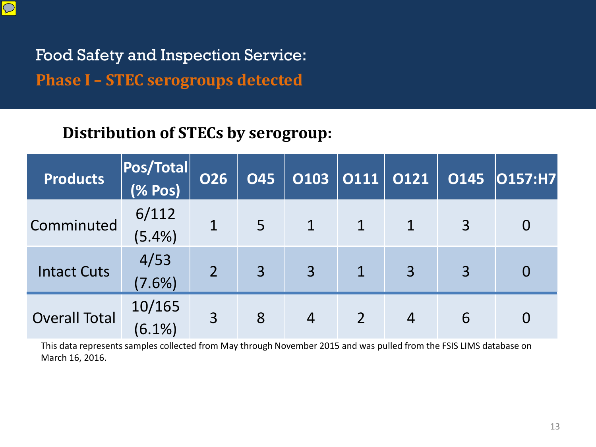

Food Safety and Inspection Service: **Phase I - STEC serogroups detected** 

#### **Distribution of STECs by serogroup:**

| <b>Products</b>      | Pos/Total<br>(% Pos) | <b>O26</b> | <b>O45</b>     | <b>O103</b>    | 0111 | 0121 | <b>O145</b>    | O157:H7        |
|----------------------|----------------------|------------|----------------|----------------|------|------|----------------|----------------|
| Comminuted           | 6/112                |            | $\overline{5}$ |                |      |      | $\overline{3}$ | $\overline{0}$ |
|                      | $(5.4\%)$            |            |                |                |      |      |                |                |
| <b>Intact Cuts</b>   | 4/53                 | 2          | $\overline{3}$ | $\overline{3}$ |      |      | 3              |                |
|                      | $(7.6\%)$            |            |                |                |      | 3    |                | $\overline{0}$ |
| <b>Overall Total</b> | 10/165               |            | 8              | $\overline{4}$ |      |      | 6              | 0              |
|                      | $(6.1\%)$            | 3          |                |                |      |      |                |                |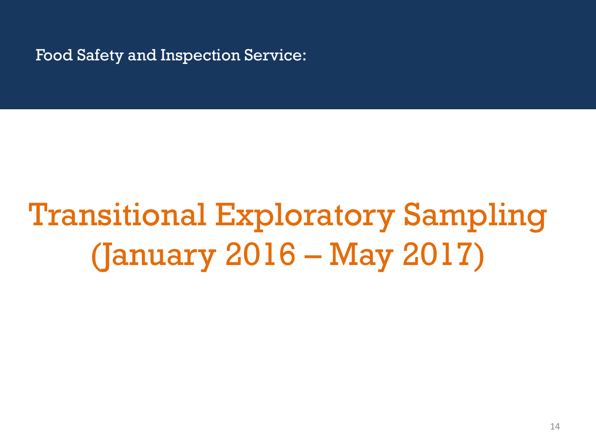# Transitional Exploratory Sampling (January 2016 – May 2017)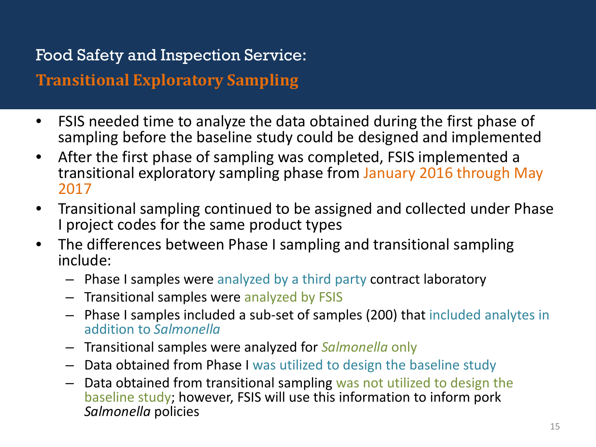#### **Transitional Exploratory Sampling**

- FSIS needed time to analyze the data obtained during the first phase of sampling before the baseline study could be designed and implemented
- After the first phase of sampling was completed, FSIS implemented a transitional exploratory sampling phase from January 2016 through May 2017
- Transitional sampling continued to be assigned and collected under Phase I project codes for the same product types
- The differences between Phase I sampling and transitional sampling include:
	- Phase I samples were analyzed by a third party contract laboratory
	- Transitional samples were analyzed by FSIS
	- Phase I samples included a sub-set of samples (200) that included analytes in addition to *Salmonella*
	- Transitional samples were analyzed for *Salmonella* only
	- Data obtained from Phase I was utilized to design the baseline study
	- Data obtained from transitional sampling was not utilized to design the baseline study; however, FSIS will use this information to inform pork *Salmonella* policies